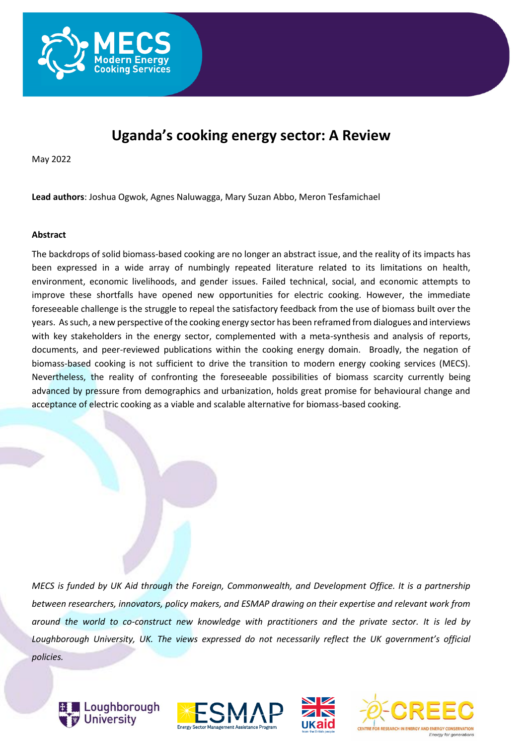

# **Uganda's cooking energy sector: A Review**

May 2022

**Lead authors**: Joshua Ogwok, Agnes Naluwagga, Mary Suzan Abbo, Meron Tesfamichael

#### **Abstract**

The backdrops of solid biomass-based cooking are no longer an abstract issue, and the reality of its impacts has been expressed in a wide array of numbingly repeated literature related to its limitations on health, environment, economic livelihoods, and gender issues. Failed technical, social, and economic attempts to improve these shortfalls have opened new opportunities for electric cooking. However, the immediate foreseeable challenge is the struggle to repeal the satisfactory feedback from the use of biomass built over the years. As such, a new perspective of the cooking energy sector has been reframed from dialogues and interviews with key stakeholders in the energy sector, complemented with a meta-synthesis and analysis of reports, documents, and peer-reviewed publications within the cooking energy domain. Broadly, the negation of biomass-based cooking is not sufficient to drive the transition to modern energy cooking services (MECS). Nevertheless, the reality of confronting the foreseeable possibilities of biomass scarcity currently being advanced by pressure from demographics and urbanization, holds great promise for behavioural change and acceptance of electric cooking as a viable and scalable alternative for biomass-based cooking.

*MECS is funded by UK Aid through the Foreign, Commonwealth, and Development Office. It is a partnership between researchers, innovators, policy makers, and ESMAP drawing on their expertise and relevant work from around the world to co-construct new knowledge with practitioners and the private sector. It is led by Loughborough University, UK. The views expressed do not necessarily reflect the UK government's official policies.*







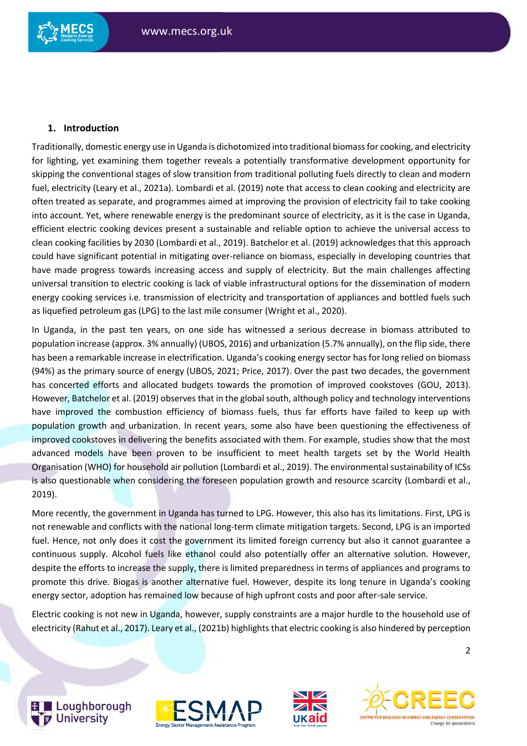# **1. Introduction**

Traditionally, domestic energy use in Uganda is dichotomized into traditional biomass for cooking, and electricity for lighting, yet examining them together reveals a potentially transformative development opportunity for skipping the conventional stages of slow transition from traditional polluting fuels directly to clean and modern fuel, electricity (Leary et al., 2021a). Lombardi et al. (2019) note that access to clean cooking and electricity are often treated as separate, and programmes aimed at improving the provision of electricity fail to take cooking into account. Yet, where renewable energy is the predominant source of electricity, as it is the case in Uganda, efficient electric cooking devices present a sustainable and reliable option to achieve the universal access to clean cooking facilities by 2030 (Lombardi et al., 2019). Batchelor et al. (2019) acknowledges that this approach could have significant potential in mitigating over-reliance on biomass, especially in developing countries that have made progress towards increasing access and supply of electricity. But the main challenges affecting universal transition to electric cooking is lack of viable infrastructural options for the dissemination of modern energy cooking services i.e. transmission of electricity and transportation of appliances and bottled fuels such as liquefied petroleum gas (LPG) to the last mile consumer (Wright et al., 2020).

In Uganda, in the past ten years, on one side has witnessed a serious decrease in biomass attributed to population increase (approx. 3% annually) (UBOS, 2016) and urbanization (5.7% annually), on the flip side, there has been a remarkable increase in electrification. Uganda's cooking energy sector has for long relied on biomass (94%) as the primary source of energy (UBOS, 2021; Price, 2017). Over the past two decades, the government has concerted efforts and allocated budgets towards the promotion of improved cookstoves (GOU, 2013). However, Batchelor et al. (2019) observes that in the global south, although policy and technology interventions have improved the combustion efficiency of biomass fuels, thus far efforts have failed to keep up with population growth and urbanization. In recent years, some also have been questioning the effectiveness of improved cookstoves in delivering the benefits associated with them. For example, studies show that the most advanced models have been proven to be insufficient to meet health targets set by the World Health Organisation (WHO) for household air pollution (Lombardi et al., 2019). The environmental sustainability of ICSs is also questionable when considering the foreseen population growth and resource scarcity (Lombardi et al., 2019).

More recently, the government in Uganda has turned to LPG. However, this also has its limitations. First, LPG is not renewable and conflicts with the national long-term climate mitigation targets. Second, LPG is an imported fuel. Hence, not only does it cost the government its limited foreign currency but also it cannot guarantee a continuous supply. Alcohol fuels like ethanol could also potentially offer an alternative solution. However, despite the efforts to increase the supply, there is limited preparedness in terms of appliances and programs to promote this drive. Biogas is another alternative fuel. However, despite its long tenure in Uganda's cooking energy sector, adoption has remained low because of high upfront costs and poor after-sale service.

Electric cooking is not new in Uganda, however, supply constraints are a major hurdle to the household use of electricity (Rahut et al., 2017). Leary et al., (2021b) highlights that electric cooking is also hindered by perception









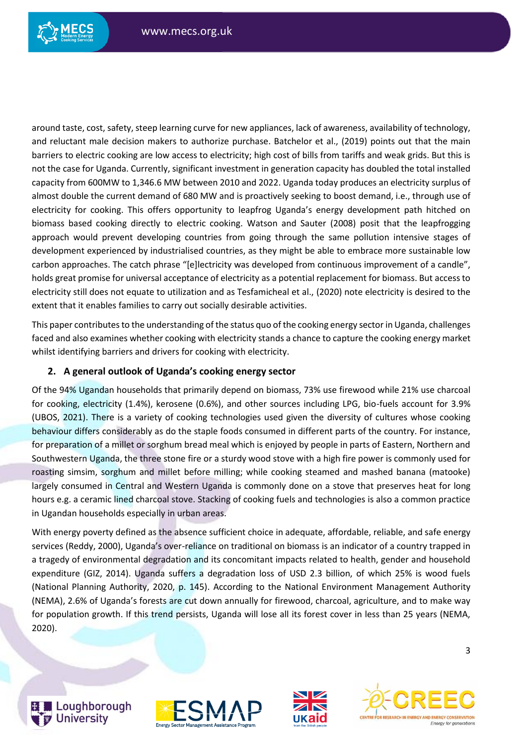

around taste, cost, safety, steep learning curve for new appliances, lack of awareness, availability of technology, and reluctant male decision makers to authorize purchase. Batchelor et al., (2019) points out that the main barriers to electric cooking are low access to electricity; high cost of bills from tariffs and weak grids. But this is not the case for Uganda. Currently, significant investment in generation capacity has doubled the total installed capacity from 600MW to 1,346.6 MW between 2010 and 2022. Uganda today produces an electricity surplus of almost double the current demand of 680 MW and is proactively seeking to boost demand, i.e., through use of electricity for cooking. This offers opportunity to leapfrog Uganda's energy development path hitched on biomass based cooking directly to electric cooking. Watson and Sauter (2008) posit that the leapfrogging approach would prevent developing countries from going through the same pollution intensive stages of development experienced by industrialised countries, as they might be able to embrace more sustainable low carbon approaches. The catch phrase "[e]lectricity was developed from continuous improvement of a candle", holds great promise for universal acceptance of electricity as a potential replacement for biomass. But access to electricity still does not equate to utilization and as Tesfamicheal et al., (2020) note electricity is desired to the extent that it enables families to carry out socially desirable activities.

This paper contributes to the understanding of the status quo of the cooking energy sector in Uganda, challenges faced and also examines whether cooking with electricity stands a chance to capture the cooking energy market whilst identifying barriers and drivers for cooking with electricity.

# **2. A general outlook of Uganda's cooking energy sector**

Of the 94% Ugandan households that primarily depend on biomass, 73% use firewood while 21% use charcoal for cooking, electricity (1.4%), kerosene (0.6%), and other sources including LPG, bio-fuels account for 3.9% (UBOS, 2021). There is a variety of cooking technologies used given the diversity of cultures whose cooking behaviour differs considerably as do the staple foods consumed in different parts of the country. For instance, for preparation of a millet or sorghum bread meal which is enjoyed by people in parts of Eastern, Northern and Southwestern Uganda, the three stone fire or a sturdy wood stove with a high fire power is commonly used for roasting simsim, sorghum and millet before milling; while cooking steamed and mashed banana (matooke) largely consumed in Central and Western Uganda is commonly done on a stove that preserves heat for long hours e.g. a ceramic lined charcoal stove. Stacking of cooking fuels and technologies is also a common practice in Ugandan households especially in urban areas.

With energy poverty defined as the absence sufficient choice in adequate, affordable, reliable, and safe energy services (Reddy, 2000), Uganda's over-reliance on traditional on biomass is an indicator of a country trapped in a tragedy of environmental degradation and its concomitant impacts related to health, gender and household expenditure (GIZ, 2014). Uganda suffers a degradation loss of USD 2.3 billion, of which 25% is wood fuels (National Planning Authority, 2020, p. 145). According to the National Environment Management Authority (NEMA), 2.6% of Uganda's forests are cut down annually for firewood, charcoal, agriculture, and to make way for population growth. If this trend persists, Uganda will lose all its forest cover in less than 25 years (NEMA, 2020).







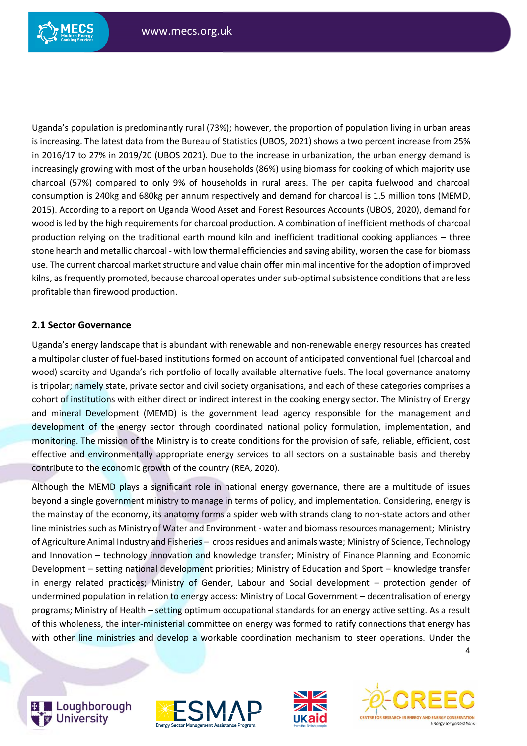

Uganda's population is predominantly rural (73%); however, the proportion of population living in urban areas is increasing. The latest data from the Bureau of Statistics (UBOS, 2021) shows a two percent increase from 25% in 2016/17 to 27% in 2019/20 (UBOS 2021). Due to the increase in urbanization, the urban energy demand is increasingly growing with most of the urban households (86%) using biomass for cooking of which majority use charcoal (57%) compared to only 9% of households in rural areas. The per capita fuelwood and charcoal consumption is 240kg and 680kg per annum respectively and demand for charcoal is 1.5 million tons (MEMD, 2015). According to a report on Uganda Wood Asset and Forest Resources Accounts (UBOS, 2020), demand for wood is led by the high requirements for charcoal production. A combination of inefficient methods of charcoal production relying on the traditional earth mound kiln and inefficient traditional cooking appliances – three stone hearth and metallic charcoal - with low thermal efficiencies and saving ability, worsen the case for biomass use. The current charcoal market structure and value chain offer minimal incentive for the adoption of improved kilns, as frequently promoted, because charcoal operates undersub-optimal subsistence conditions that are less profitable than firewood production.

## **2.1 Sector Governance**

Uganda's energy landscape that is abundant with renewable and non-renewable energy resources has created a multipolar cluster of fuel-based institutions formed on account of anticipated conventional fuel (charcoal and wood) scarcity and Uganda's rich portfolio of locally available alternative fuels. The local governance anatomy is tripolar; namely state, private sector and civil society organisations, and each of these categories comprises a cohort of institutions with either direct or indirect interest in the cooking energy sector. The Ministry of Energy and mineral Development (MEMD) is the government lead agency responsible for the management and development of the energy sector through coordinated national policy formulation, implementation, and monitoring. The mission of the Ministry is to create conditions for the provision of safe, reliable, efficient, cost effective and environmentally appropriate energy services to all sectors on a sustainable basis and thereby contribute to the economic growth of the country (REA, 2020).

Although the MEMD plays a significant role in national energy governance, there are a multitude of issues beyond a single government ministry to manage in terms of policy, and implementation. Considering, energy is the mainstay of the economy, its anatomy forms a spider web with strands clang to non-state actors and other line ministries such as Ministry of Water and Environment - water and biomass resources management; Ministry of Agriculture Animal Industry and Fisheries – crops residues and animals waste; Ministry of Science, Technology and Innovation – technology innovation and knowledge transfer; Ministry of Finance Planning and Economic Development – setting national development priorities; Ministry of Education and Sport – knowledge transfer in energy related practices; Ministry of Gender, Labour and Social development – protection gender of undermined population in relation to energy access: Ministry of Local Government – decentralisation of energy programs; Ministry of Health – setting optimum occupational standards for an energy active setting. As a result of this wholeness, the inter-ministerial committee on energy was formed to ratify connections that energy has with other line ministries and develop a workable coordination mechanism to steer operations. Under the



Loughborough **University** 





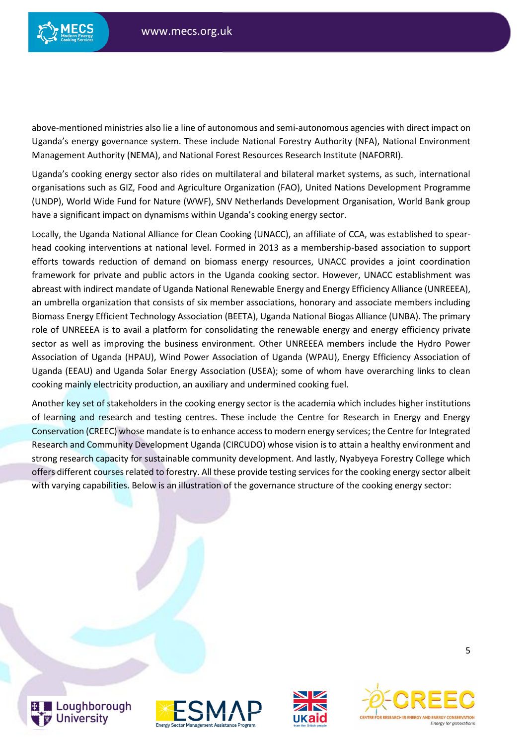

above-mentioned ministries also lie a line of autonomous and semi-autonomous agencies with direct impact on Uganda's energy governance system. These include National Forestry Authority (NFA), National Environment Management Authority (NEMA), and National Forest Resources Research Institute (NAFORRI).

Uganda's cooking energy sector also rides on multilateral and bilateral market systems, as such, international organisations such as GIZ, Food and Agriculture Organization (FAO), United Nations Development Programme (UNDP), World Wide Fund for Nature (WWF), SNV Netherlands Development Organisation, World Bank group have a significant impact on dynamisms within Uganda's cooking energy sector.

Locally, the Uganda National Alliance for Clean Cooking (UNACC), an affiliate of CCA, was established to spearhead cooking interventions at national level. Formed in 2013 as a membership-based association to support efforts towards reduction of demand on biomass energy resources, UNACC provides a joint coordination framework for private and public actors in the Uganda cooking sector. However, UNACC establishment was abreast with indirect mandate of Uganda National Renewable Energy and Energy Efficiency Alliance (UNREEEA), an umbrella organization that consists of six member associations, honorary and associate members including Biomass Energy Efficient Technology Association (BEETA), Uganda National Biogas Alliance (UNBA). The primary role of UNREEEA is to avail a platform for consolidating the renewable energy and energy efficiency private sector as well as improving the business environment. Other UNREEEA members include the Hydro Power Association of Uganda (HPAU), Wind Power Association of Uganda (WPAU), Energy Efficiency Association of Uganda (EEAU) and Uganda Solar Energy Association (USEA); some of whom have overarching links to clean cooking mainly electricity production, an auxiliary and undermined cooking fuel.

Another key set of stakeholders in the cooking energy sector is the academia which includes higher institutions of learning and research and testing centres. These include the Centre for Research in Energy and Energy Conservation (CREEC) whose mandate is to enhance access to modern energy services; the Centre for Integrated Research and Community Development Uganda (CIRCUDO) whose vision is to attain a healthy environment and strong research capacity for sustainable community development. And lastly, Nyabyeya Forestry College which offers different courses related to forestry. All these provide testing services for the cooking energy sector albeit with varying capabilities. Below is an illustration of the governance structure of the cooking energy sector:







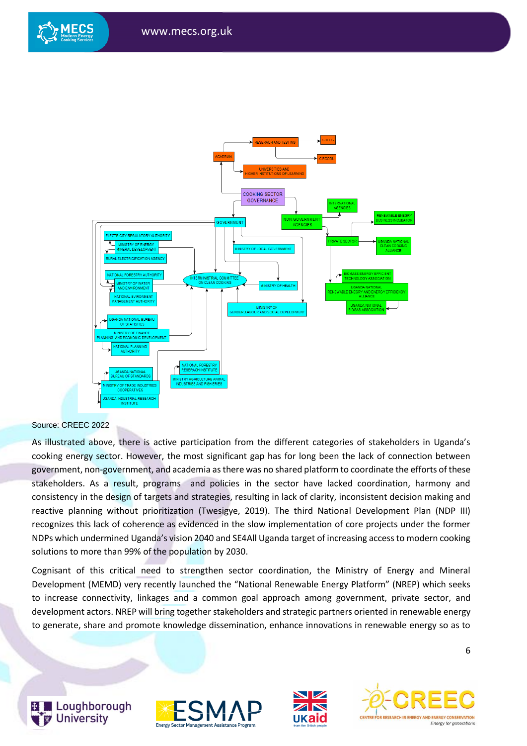

#### Source: CREEC 2022

As illustrated above, there is active participation from the different categories of stakeholders in Uganda's cooking energy sector. However, the most significant gap has for long been the lack of connection between government, non-government, and academia as there was no shared platform to coordinate the efforts of these stakeholders. As a result, programs and policies in the sector have lacked coordination, harmony and consistency in the design of targets and strategies, resulting in lack of clarity, inconsistent decision making and reactive planning without prioritization (Twesigye, 2019). The third National Development Plan (NDP III) recognizes this lack of coherence as evidenced in the slow implementation of core projects under the former NDPs which undermined Uganda's vision 2040 and SE4All Uganda target of increasing access to modern cooking solutions to more than 99% of the population by 2030.

Cognisant of this critical need to strengthen sector coordination, the Ministry of Energy and Mineral Development (MEMD) very recently launched the "National Renewable Energy Platform" (NREP) which seeks to increase connectivity, linkages and a common goal approach among government, private sector, and development actors. NREP will bring together stakeholders and strategic partners oriented in renewable energy to generate, share and promote knowledge dissemination, enhance innovations in renewable energy so as to







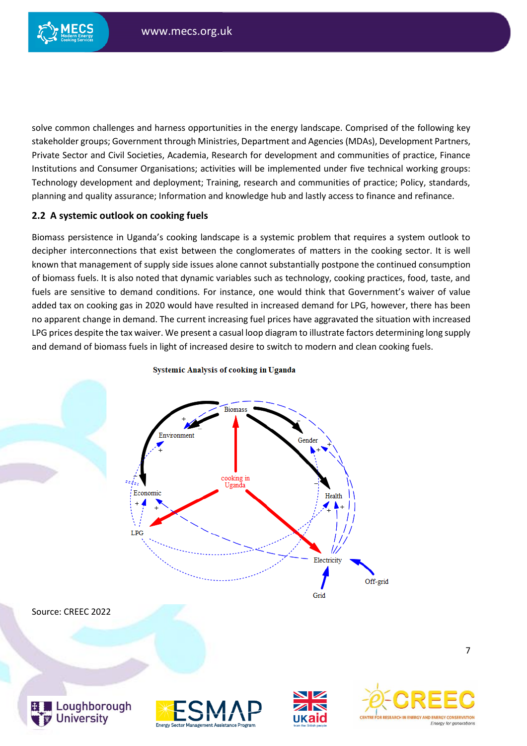

solve common challenges and harness opportunities in the energy landscape. Comprised of the following key stakeholder groups; Government through Ministries, Department and Agencies (MDAs), Development Partners, Private Sector and Civil Societies, Academia, Research for development and communities of practice, Finance Institutions and Consumer Organisations; activities will be implemented under five technical working groups: Technology development and deployment; Training, research and communities of practice; Policy, standards, planning and quality assurance; Information and knowledge hub and lastly access to finance and refinance.

## **2.2 A systemic outlook on cooking fuels**

Biomass persistence in Uganda's cooking landscape is a systemic problem that requires a system outlook to decipher interconnections that exist between the conglomerates of matters in the cooking sector. It is well known that management of supply side issues alone cannot substantially postpone the continued consumption of biomass fuels. It is also noted that dynamic variables such as technology, cooking practices, food, taste, and fuels are sensitive to demand conditions. For instance, one would think that Government's waiver of value added tax on cooking gas in 2020 would have resulted in increased demand for LPG, however, there has been no apparent change in demand. The current increasing fuel prices have aggravated the situation with increased LPG prices despite the tax waiver. We present a casual loop diagram to illustrate factors determining long supply and demand of biomass fuels in light of increased desire to switch to modern and clean cooking fuels.



7

#### **Systemic Analysis of cooking in Uganda**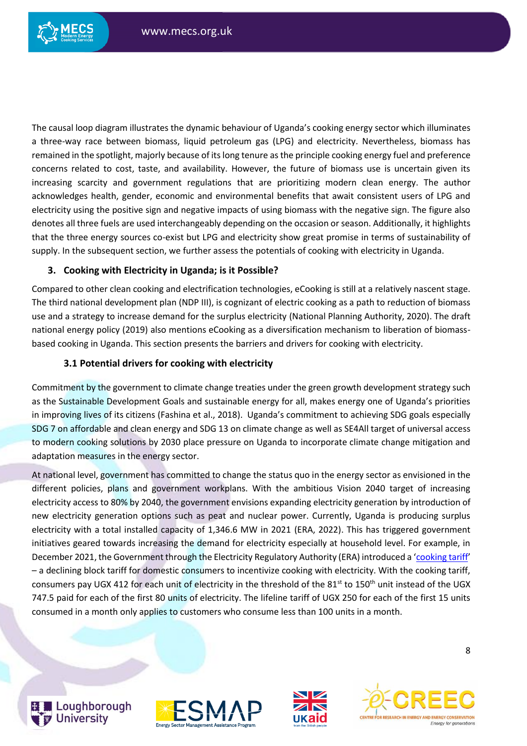

The causal loop diagram illustrates the dynamic behaviour of Uganda's cooking energy sector which illuminates a three-way race between biomass, liquid petroleum gas (LPG) and electricity. Nevertheless, biomass has remained in the spotlight, majorly because of its long tenure as the principle cooking energy fuel and preference concerns related to cost, taste, and availability. However, the future of biomass use is uncertain given its increasing scarcity and government regulations that are prioritizing modern clean energy. The author acknowledges health, gender, economic and environmental benefits that await consistent users of LPG and electricity using the positive sign and negative impacts of using biomass with the negative sign. The figure also denotes all three fuels are used interchangeably depending on the occasion or season. Additionally, it highlights that the three energy sources co-exist but LPG and electricity show great promise in terms of sustainability of supply. In the subsequent section, we further assess the potentials of cooking with electricity in Uganda.

# **3. Cooking with Electricity in Uganda; is it Possible?**

Compared to other clean cooking and electrification technologies, eCooking is still at a relatively nascent stage. The third national development plan (NDP III), is cognizant of electric cooking as a path to reduction of biomass use and a strategy to increase demand for the surplus electricity (National Planning Authority, 2020). The draft national energy policy (2019) also mentions eCooking as a diversification mechanism to liberation of biomassbased cooking in Uganda. This section presents the barriers and drivers for cooking with electricity.

# **3.1 Potential drivers for cooking with electricity**

Commitment by the government to climate change treaties under the green growth development strategy such as the Sustainable Development Goals and sustainable energy for all, makes energy one of Uganda's priorities in improving lives of its citizens (Fashina et al., 2018). Uganda's commitment to achieving SDG goals especially SDG 7 on affordable and clean energy and SDG 13 on climate change as well as SE4All target of universal access to modern cooking solutions by 2030 place pressure on Uganda to incorporate climate change mitigation and adaptation measures in the energy sector.

At national level, government has committed to change the status quo in the energy sector as envisioned in the different policies, plans and government workplans. With the ambitious Vision 2040 target of increasing electricity access to 80% by 2040, the government envisions expanding electricity generation by introduction of new electricity generation options such as peat and nuclear power. Currently, Uganda is producing surplus electricity with a total installed capacity of 1,346.6 MW in 2021 (ERA, 2022). This has triggered government initiatives geared towards increasing the demand for electricity especially at household level. For example, in December 2021, the Government through the Electricity Regulatory Authority (ERA) introduced a '[cooking tariff](https://www.era.go.ug/index.php/media-centre/what-s-new/371-energy-minister-launches-reviewed-electricity-tariff-structure)' – a declining block tariff for domestic consumers to incentivize cooking with electricity. With the cooking tariff, consumers pay UGX 412 for each unit of electricity in the threshold of the 81<sup>st</sup> to 150<sup>th</sup> unit instead of the UGX 747.5 paid for each of the first 80 units of electricity. The lifeline tariff of UGX 250 for each of the first 15 units consumed in a month only applies to customers who consume less than 100 units in a month.







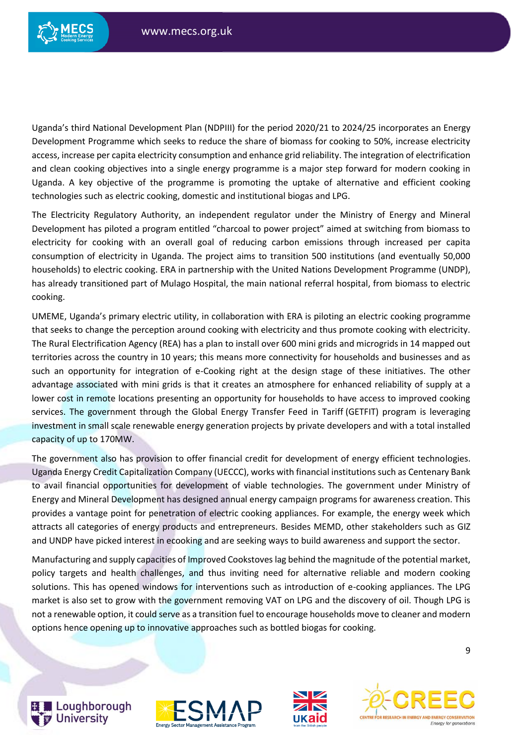

Uganda's third National Development Plan (NDPIII) for the period 2020/21 to 2024/25 incorporates an Energy Development Programme which seeks to reduce the share of biomass for cooking to 50%, increase electricity access, increase per capita electricity consumption and enhance grid reliability. The integration of electrification and clean cooking objectives into a single energy programme is a major step forward for modern cooking in Uganda. A key objective of the programme is promoting the uptake of alternative and efficient cooking technologies such as electric cooking, domestic and institutional biogas and LPG.

The Electricity Regulatory Authority, an independent regulator under the Ministry of Energy and Mineral Development has piloted a program entitled "charcoal to power project" aimed at switching from biomass to electricity for cooking with an overall goal of reducing carbon emissions through increased per capita consumption of electricity in Uganda. The project aims to transition 500 institutions (and eventually 50,000 households) to electric cooking. ERA in partnership with the United Nations Development Programme (UNDP), has already transitioned part of Mulago Hospital, the main national referral hospital, from biomass to electric cooking.

UMEME, Uganda's primary electric utility, in collaboration with ERA is piloting an electric cooking programme that seeks to change the perception around cooking with electricity and thus promote cooking with electricity. The Rural Electrification Agency (REA) has a plan to install over 600 mini grids and microgrids in 14 mapped out territories across the country in 10 years; this means more connectivity for households and businesses and as such an opportunity for integration of e-Cooking right at the design stage of these initiatives. The other advantage associated with mini grids is that it creates an atmosphere for enhanced reliability of supply at a lower cost in remote locations presenting an opportunity for households to have access to improved cooking services. The government through the Global Energy Transfer Feed in Tariff (GETFIT) program is leveraging investment in small scale renewable energy generation projects by private developers and with a total installed capacity of up to 170MW.

The government also has provision to offer financial credit for development of energy efficient technologies. Uganda Energy Credit Capitalization Company (UECCC), works with financial institutions such as Centenary Bank to avail financial opportunities for development of viable technologies. The government under Ministry of Energy and Mineral Development has designed annual energy campaign programs for awareness creation. This provides a vantage point for penetration of electric cooking appliances. For example, the energy week which attracts all categories of energy products and entrepreneurs. Besides MEMD, other stakeholders such as GIZ and UNDP have picked interest in ecooking and are seeking ways to build awareness and support the sector.

Manufacturing and supply capacities of Improved Cookstoves lag behind the magnitude of the potential market, policy targets and health challenges, and thus inviting need for alternative reliable and modern cooking solutions. This has opened windows for interventions such as introduction of e-cooking appliances. The LPG market is also set to grow with the government removing VAT on LPG and the discovery of oil. Though LPG is not a renewable option, it could serve as a transition fuel to encourage households move to cleaner and modern options hence opening up to innovative approaches such as bottled biogas for cooking.



Loughborough **University** 





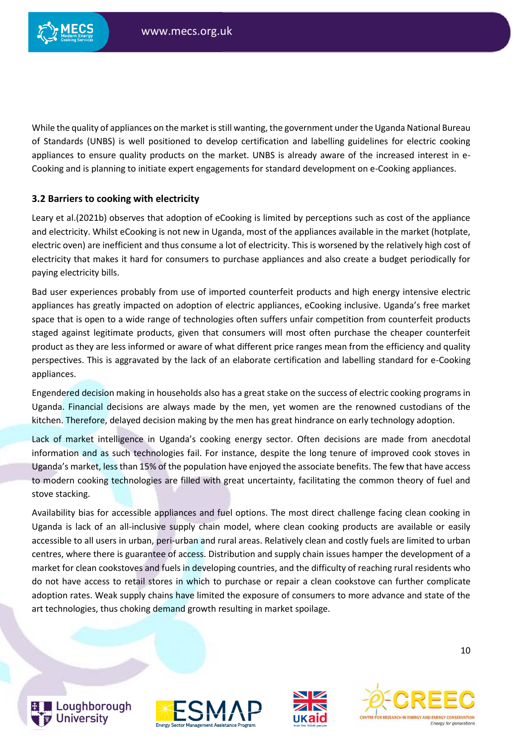

While the quality of appliances on the market is still wanting, the government under the Uganda National Bureau of Standards (UNBS) is well positioned to develop certification and labelling guidelines for electric cooking appliances to ensure quality products on the market. UNBS is already aware of the increased interest in e-Cooking and is planning to initiate expert engagements for standard development on e-Cooking appliances.

### **3.2 Barriers to cooking with electricity**

Leary et al.(2021b) observes that adoption of eCooking is limited by perceptions such as cost of the appliance and electricity. Whilst eCooking is not new in Uganda, most of the appliances available in the market (hotplate, electric oven) are inefficient and thus consume a lot of electricity. This is worsened by the relatively high cost of electricity that makes it hard for consumers to purchase appliances and also create a budget periodically for paying electricity bills.

Bad user experiences probably from use of imported counterfeit products and high energy intensive electric appliances has greatly impacted on adoption of electric appliances, eCooking inclusive. Uganda's free market space that is open to a wide range of technologies often suffers unfair competition from counterfeit products staged against legitimate products, given that consumers will most often purchase the cheaper counterfeit product as they are less informed or aware of what different price ranges mean from the efficiency and quality perspectives. This is aggravated by the lack of an elaborate certification and labelling standard for e-Cooking appliances.

Engendered decision making in households also has a great stake on the success of electric cooking programs in Uganda. Financial decisions are always made by the men, yet women are the renowned custodians of the kitchen. Therefore, delayed decision making by the men has great hindrance on early technology adoption.

Lack of market intelligence in Uganda's cooking energy sector. Often decisions are made from anecdotal information and as such technologies fail. For instance, despite the long tenure of improved cook stoves in Uganda's market, less than 15% of the population have enjoyed the associate benefits. The few that have access to modern cooking technologies are filled with great uncertainty, facilitating the common theory of fuel and stove stacking.

Availability bias for accessible appliances and fuel options. The most direct challenge facing clean cooking in Uganda is lack of an all-inclusive supply chain model, where clean cooking products are available or easily accessible to all users in urban, peri-urban and rural areas. Relatively clean and costly fuels are limited to urban centres, where there is guarantee of access. Distribution and supply chain issues hamper the development of a market for clean cookstoves and fuels in developing countries, and the difficulty of reaching rural residents who do not have access to retail stores in which to purchase or repair a clean cookstove can further complicate adoption rates. Weak supply chains have limited the exposure of consumers to more advance and state of the art technologies, thus choking demand growth resulting in market spoilage.



Loughborough **University** 





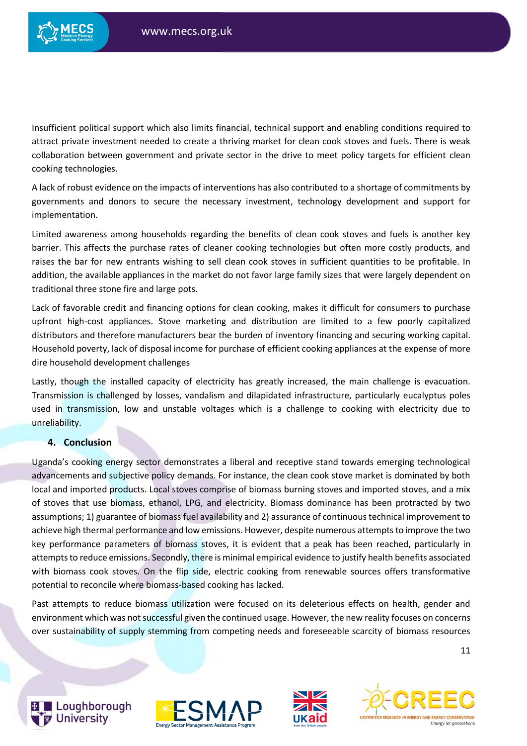

Insufficient political support which also limits financial, technical support and enabling conditions required to attract private investment needed to create a thriving market for clean cook stoves and fuels. There is weak collaboration between government and private sector in the drive to meet policy targets for efficient clean cooking technologies.

A lack of robust evidence on the impacts of interventions has also contributed to a shortage of commitments by governments and donors to secure the necessary investment, technology development and support for implementation.

Limited awareness among households regarding the benefits of clean cook stoves and fuels is another key barrier. This affects the purchase rates of cleaner cooking technologies but often more costly products, and raises the bar for new entrants wishing to sell clean cook stoves in sufficient quantities to be profitable. In addition, the available appliances in the market do not favor large family sizes that were largely dependent on traditional three stone fire and large pots.

Lack of favorable credit and financing options for clean cooking, makes it difficult for consumers to purchase upfront high-cost appliances. Stove marketing and distribution are limited to a few poorly capitalized distributors and therefore manufacturers bear the burden of inventory financing and securing working capital. Household poverty, lack of disposal income for purchase of efficient cooking appliances at the expense of more dire household development challenges

Lastly, though the installed capacity of electricity has greatly increased, the main challenge is evacuation. Transmission is challenged by losses, vandalism and dilapidated infrastructure, particularly eucalyptus poles used in transmission, low and unstable voltages which is a challenge to cooking with electricity due to unreliability.

## **4. Conclusion**

Uganda's cooking energy sector demonstrates a liberal and receptive stand towards emerging technological advancements and subjective policy demands. For instance, the clean cook stove market is dominated by both local and imported products. Local stoves comprise of biomass burning stoves and imported stoves, and a mix of stoves that use biomass, ethanol, LPG, and electricity. Biomass dominance has been protracted by two assumptions; 1) guarantee of biomass fuel availability and 2) assurance of continuous technical improvement to achieve high thermal performance and low emissions. However, despite numerous attempts to improve the two key performance parameters of biomass stoves, it is evident that a peak has been reached, particularly in attempts to reduce emissions. Secondly, there is minimal empirical evidence to justify health benefits associated with biomass cook stoves. On the flip side, electric cooking from renewable sources offers transformative potential to reconcile where biomass-based cooking has lacked.

Past attempts to reduce biomass utilization were focused on its deleterious effects on health, gender and environment which was not successful given the continued usage. However, the new reality focuses on concerns over sustainability of supply stemming from competing needs and foreseeable scarcity of biomass resources



Loughborough **University** 





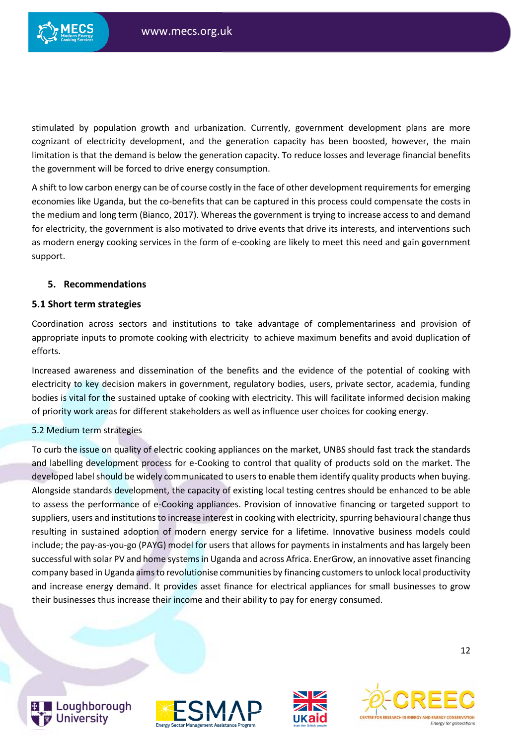

stimulated by population growth and urbanization. Currently, government development plans are more cognizant of electricity development, and the generation capacity has been boosted, however, the main limitation is that the demand is below the generation capacity. To reduce losses and leverage financial benefits the government will be forced to drive energy consumption.

A shift to low carbon energy can be of course costly in the face of other development requirements for emerging economies like Uganda, but the co-benefits that can be captured in this process could compensate the costs in the medium and long term (Bianco, 2017). Whereas the government is trying to increase access to and demand for electricity, the government is also motivated to drive events that drive its interests, and interventions such as modern energy cooking services in the form of e-cooking are likely to meet this need and gain government support.

### **5. Recommendations**

#### **5.1 Short term strategies**

Coordination across sectors and institutions to take advantage of complementariness and provision of appropriate inputs to promote cooking with electricity to achieve maximum benefits and avoid duplication of efforts.

Increased awareness and dissemination of the benefits and the evidence of the potential of cooking with electricity to key decision makers in government, regulatory bodies, users, private sector, academia, funding bodies is vital for the sustained uptake of cooking with electricity. This will facilitate informed decision making of priority work areas for different stakeholders as well as influence user choices for cooking energy.

#### 5.2 Medium term strategies

To curb the issue on quality of electric cooking appliances on the market, UNBS should fast track the standards and labelling development process for e-Cooking to control that quality of products sold on the market. The developed label should be widely communicated to users to enable them identify quality products when buying. Alongside standards development, the capacity of existing local testing centres should be enhanced to be able to assess the performance of e-Cooking appliances. Provision of innovative financing or targeted support to suppliers, users and institutions to increase interest in cooking with electricity, spurring behavioural change thus resulting in sustained adoption of modern energy service for a lifetime. Innovative business models could include; the pay-as-you-go (PAYG) model for users that allows for payments in instalments and has largely been successful with solar PV and home systems in Uganda and across Africa. EnerGrow, an innovative asset financing company based in Uganda aims to revolutionise communities by financing customers to unlock local productivity and increase energy demand. It provides asset finance for electrical appliances for small businesses to grow their businesses thus increase their income and their ability to pay for energy consumed.







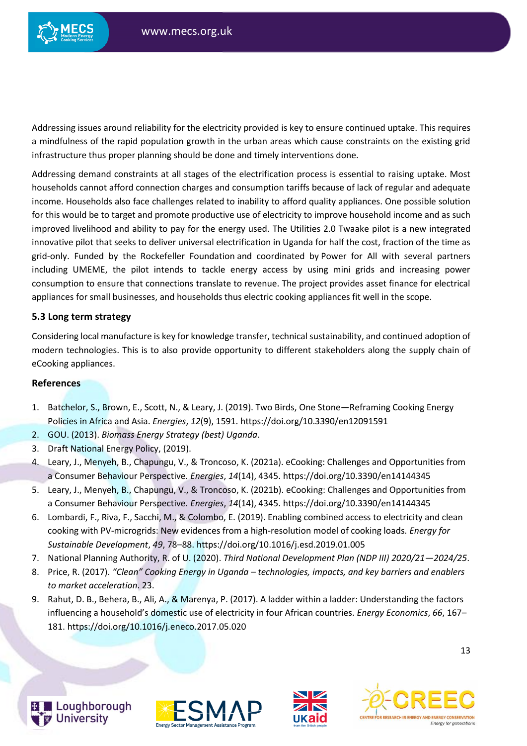

Addressing issues around reliability for the electricity provided is key to ensure continued uptake. This requires a mindfulness of the rapid population growth in the urban areas which cause constraints on the existing grid infrastructure thus proper planning should be done and timely interventions done.

Addressing demand constraints at all stages of the electrification process is essential to raising uptake. Most households cannot afford connection charges and consumption tariffs because of lack of regular and adequate income. Households also face challenges related to inability to afford quality appliances. One possible solution for this would be to target and promote productive use of electricity to improve household income and as such improved livelihood and ability to pay for the energy used. The Utilities 2.0 Twaake pilot is a new integrated innovative pilot that seeks to deliver universal electrification in Uganda for half the cost, fraction of the time as grid-only. Funded by [the Rockefeller Foundation](https://www.devex.com/organizations/rockefeller-foundation-19719) and coordinated by [Power for All](https://www.devex.com/organizations/power-for-all-132773) with several partners including UMEME, the pilot intends to tackle energy access by using mini grids and increasing power consumption to ensure that connections translate to revenue. The project provides asset finance for electrical appliances for small businesses, and households thus electric cooking appliances fit well in the scope.

## **5.3 Long term strategy**

Considering local manufacture is key for knowledge transfer, technical sustainability, and continued adoption of modern technologies. This is to also provide opportunity to different stakeholders along the supply chain of eCooking appliances.

### **References**

- 1. Batchelor, S., Brown, E., Scott, N., & Leary, J. (2019). Two Birds, One Stone—Reframing Cooking Energy Policies in Africa and Asia. *Energies*, *12*(9), 1591. https://doi.org/10.3390/en12091591
- 2. GOU. (2013). *Biomass Energy Strategy (best) Uganda*.
- 3. Draft National Energy Policy, (2019).
- 4. Leary, J., Menyeh, B., Chapungu, V., & Troncoso, K. (2021a). eCooking: Challenges and Opportunities from a Consumer Behaviour Perspective. *Energies*, *14*(14), 4345. https://doi.org/10.3390/en14144345
- 5. Leary, J., Menyeh, B., Chapungu, V., & Troncoso, K. (2021b). eCooking: Challenges and Opportunities from a Consumer Behaviour Perspective. *Energies*, *14*(14), 4345. https://doi.org/10.3390/en14144345
- 6. Lombardi, F., Riva, F., Sacchi, M., & Colombo, E. (2019). Enabling combined access to electricity and clean cooking with PV-microgrids: New evidences from a high-resolution model of cooking loads. *Energy for Sustainable Development*, *49*, 78–88. https://doi.org/10.1016/j.esd.2019.01.005
- 7. National Planning Authority, R. of U. (2020). *Third National Development Plan (NDP III) 2020/21—2024/25*.
- 8. Price, R. (2017). *"Clean" Cooking Energy in Uganda – technologies, impacts, and key barriers and enablers to market acceleration*. 23.
- 9. Rahut, D. B., Behera, B., Ali, A., & Marenya, P. (2017). A ladder within a ladder: Understanding the factors influencing a household's domestic use of electricity in four African countries. *Energy Economics*, *66*, 167– 181. https://doi.org/10.1016/j.eneco.2017.05.020